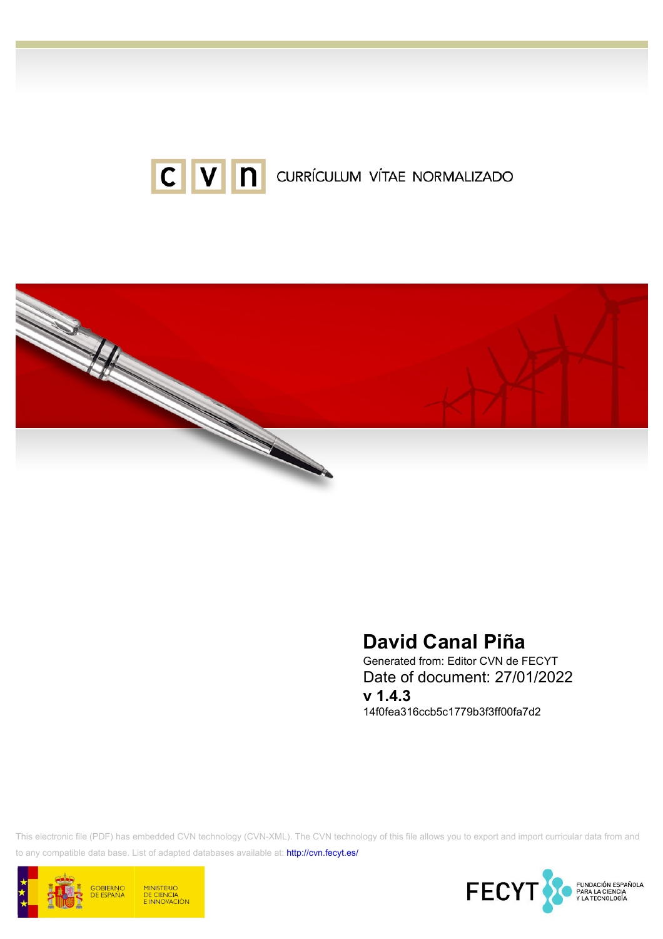



# David Canal Piña

Generated from: Editor CVN de FECYT Date of document: 27/01/2022 v 1.4.3 14f0fea316ccb5c1779b3f3ff00fa7d2

This electronic file (PDF) has embedded CVN technology (CVN-XML). The CVN technology of this file allows you to export and import curricular data from and to any compatible data base. List of adapted databases available at:<http://cvn.fecyt.es/>



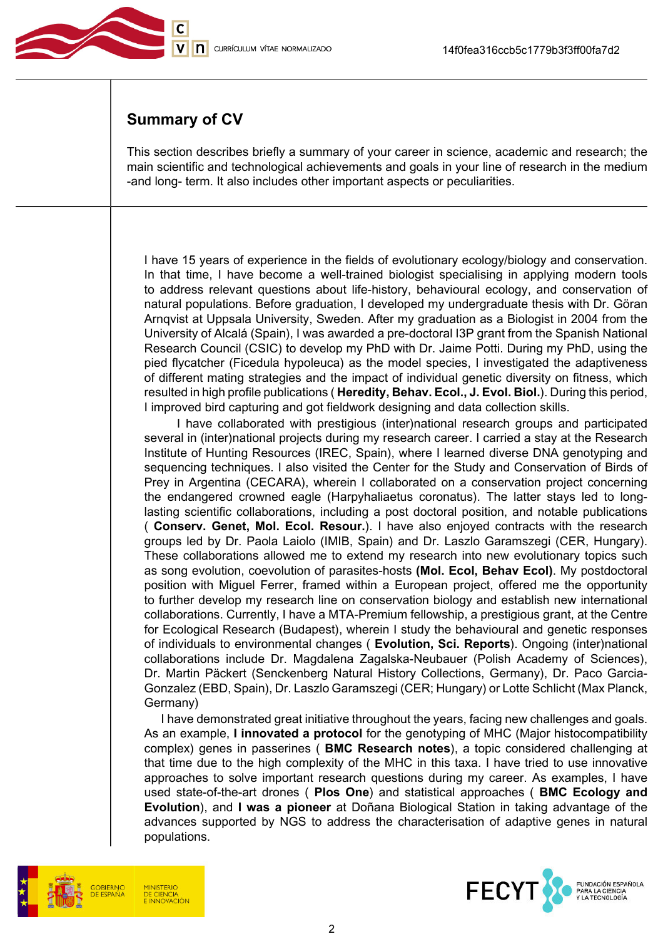

## Summary of CV

This section describes briefly a summary of your career in science, academic and research; the main scientific and technological achievements and goals in your line of research in the medium -and long- term. It also includes other important aspects or peculiarities.

I have 15 years of experience in the fields of evolutionary ecology/biology and conservation. In that time, I have become a well-trained biologist specialising in applying modern tools to address relevant questions about life-history, behavioural ecology, and conservation of natural populations. Before graduation, I developed my undergraduate thesis with Dr. Göran Arnqvist at Uppsala University, Sweden. After my graduation as a Biologist in 2004 from the University of Alcalá (Spain), I was awarded a pre-doctoral I3P grant from the Spanish National Research Council (CSIC) to develop my PhD with Dr. Jaime Potti. During my PhD, using the pied flycatcher (Ficedula hypoleuca) as the model species, I investigated the adaptiveness of different mating strategies and the impact of individual genetic diversity on fitness, which resulted in high profile publications ( Heredity, Behav. Ecol., J. Evol. Biol.). During this period, I improved bird capturing and got fieldwork designing and data collection skills.

 I have collaborated with prestigious (inter)national research groups and participated several in (inter)national projects during my research career. I carried a stay at the Research Institute of Hunting Resources (IREC, Spain), where I learned diverse DNA genotyping and sequencing techniques. I also visited the Center for the Study and Conservation of Birds of Prey in Argentina (CECARA), wherein I collaborated on a conservation project concerning the endangered crowned eagle (Harpyhaliaetus coronatus). The latter stays led to longlasting scientific collaborations, including a post doctoral position, and notable publications ( Conserv. Genet, Mol. Ecol. Resour.). I have also enjoyed contracts with the research groups led by Dr. Paola Laiolo (IMIB, Spain) and Dr. Laszlo Garamszegi (CER, Hungary). These collaborations allowed me to extend my research into new evolutionary topics such as song evolution, coevolution of parasites-hosts (Mol. Ecol, Behav Ecol). My postdoctoral position with Miguel Ferrer, framed within a European project, offered me the opportunity to further develop my research line on conservation biology and establish new international collaborations. Currently, I have a MTA-Premium fellowship, a prestigious grant, at the Centre for Ecological Research (Budapest), wherein I study the behavioural and genetic responses of individuals to environmental changes ( Evolution, Sci. Reports). Ongoing (inter)national collaborations include Dr. Magdalena Zagalska-Neubauer (Polish Academy of Sciences), Dr. Martin Päckert (Senckenberg Natural History Collections, Germany), Dr. Paco Garcia-Gonzalez (EBD, Spain), Dr. Laszlo Garamszegi (CER; Hungary) or Lotte Schlicht (Max Planck, Germany)

 I have demonstrated great initiative throughout the years, facing new challenges and goals. As an example, I innovated a protocol for the genotyping of MHC (Major histocompatibility complex) genes in passerines ( BMC Research notes), a topic considered challenging at that time due to the high complexity of the MHC in this taxa. I have tried to use innovative approaches to solve important research questions during my career. As examples, I have used state-of-the-art drones ( Plos One) and statistical approaches ( BMC Ecology and Evolution), and I was a pioneer at Doñana Biological Station in taking advantage of the advances supported by NGS to address the characterisation of adaptive genes in natural populations.



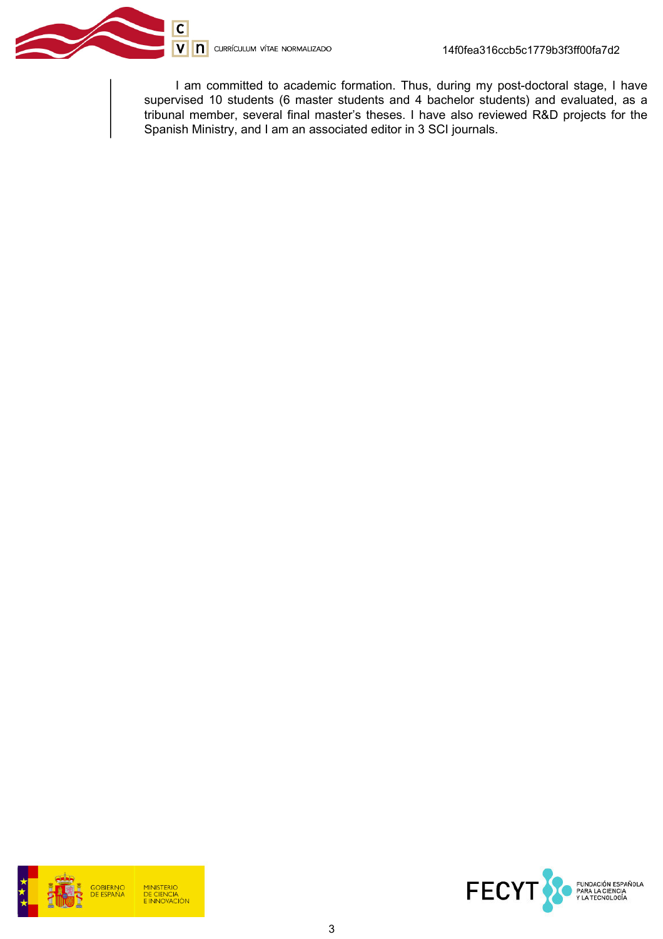I am committed to academic formation. Thus, during my post-doctoral stage, I have supervised 10 students (6 master students and 4 bachelor students) and evaluated, as a tribunal member, several final master's theses. I have also reviewed R&D projects for the Spanish Ministry, and I am an associated editor in 3 SCI journals.



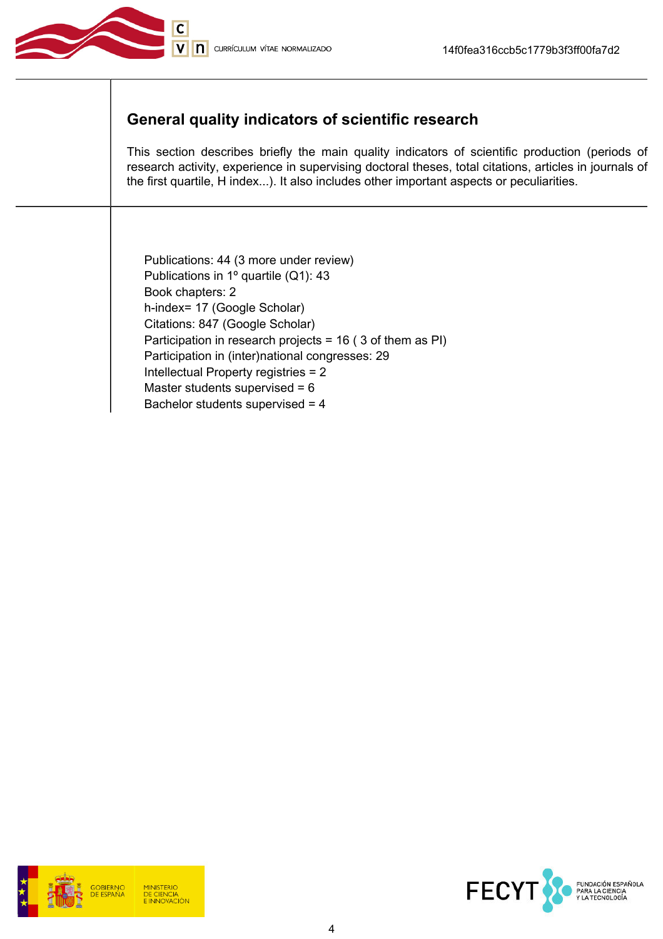

# General quality indicators of scientific research

This section describes briefly the main quality indicators of scientific production (periods of research activity, experience in supervising doctoral theses, total citations, articles in journals of the first quartile, H index...). It also includes other important aspects or peculiarities.

Publications: 44 (3 more under review) Publications in 1º quartile (Q1): 43 Book chapters: 2 h-index= 17 (Google Scholar) Citations: 847 (Google Scholar) Participation in research projects = 16 ( 3 of them as PI) Participation in (inter)national congresses: 29 Intellectual Property registries = 2 Master students supervised = 6 Bachelor students supervised = 4



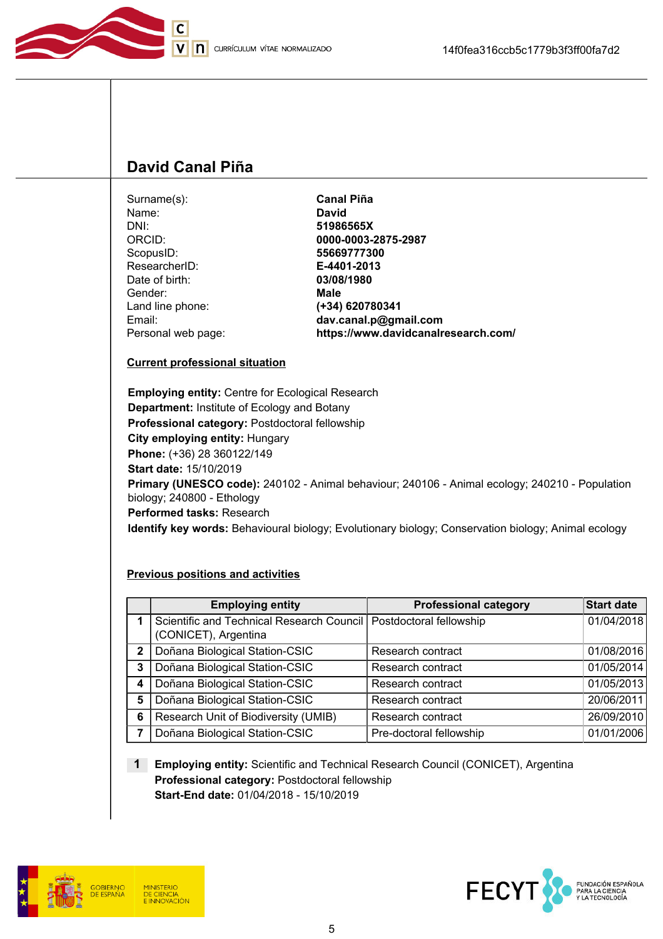



# David Canal Piña

Surname(s):<br>
Name: Canal Piña<br>
David Name:<br>DNI: DNI: 51986565X<br>ORCID: 6000-0003-4 ORCID: 0000-0003-2875-2987 55669777300<br>E-4401-2013 ResearcherID:<br>Date of birth: 03/08/1980 Gender: **Male** Land line phone: (+34) 620780341 Email: dav.canal.p@gmail.com Personal web page: https://www.davidcanalresearch.com/

#### Current professional situation

Employing entity: Centre for Ecological Research Department: Institute of Ecology and Botany Professional category: Postdoctoral fellowship City employing entity: Hungary Phone: (+36) 28 360122/149 Start date: 15/10/2019 Primary (UNESCO code): 240102 - Animal behaviour; 240106 - Animal ecology; 240210 - Population biology; 240800 - Ethology Performed tasks: Research Identify key words: Behavioural biology; Evolutionary biology; Conservation biology; Animal ecology

### Previous positions and activities

|                | <b>Employing entity</b>                                                                     | <b>Professional category</b> | <b>Start date</b> |
|----------------|---------------------------------------------------------------------------------------------|------------------------------|-------------------|
|                | Scientific and Technical Research Council   Postdoctoral fellowship<br>(CONICET), Argentina |                              | 01/04/2018        |
| $\overline{2}$ | Doñana Biological Station-CSIC                                                              | Research contract            | 01/08/2016        |
| 3              | Doñana Biological Station-CSIC                                                              | Research contract            | 01/05/2014        |
| 4              | Doñana Biological Station-CSIC                                                              | Research contract            | 01/05/2013        |
| 5              | Doñana Biological Station-CSIC                                                              | Research contract            | 20/06/2011        |
| 6              | Research Unit of Biodiversity (UMIB)                                                        | Research contract            | 26/09/2010        |
| 7              | Doñana Biological Station-CSIC                                                              | Pre-doctoral fellowship      | 01/01/2006        |

1 Employing entity: Scientific and Technical Research Council (CONICET), Argentina Professional category: Postdoctoral fellowship Start-End date: 01/04/2018 - 15/10/2019





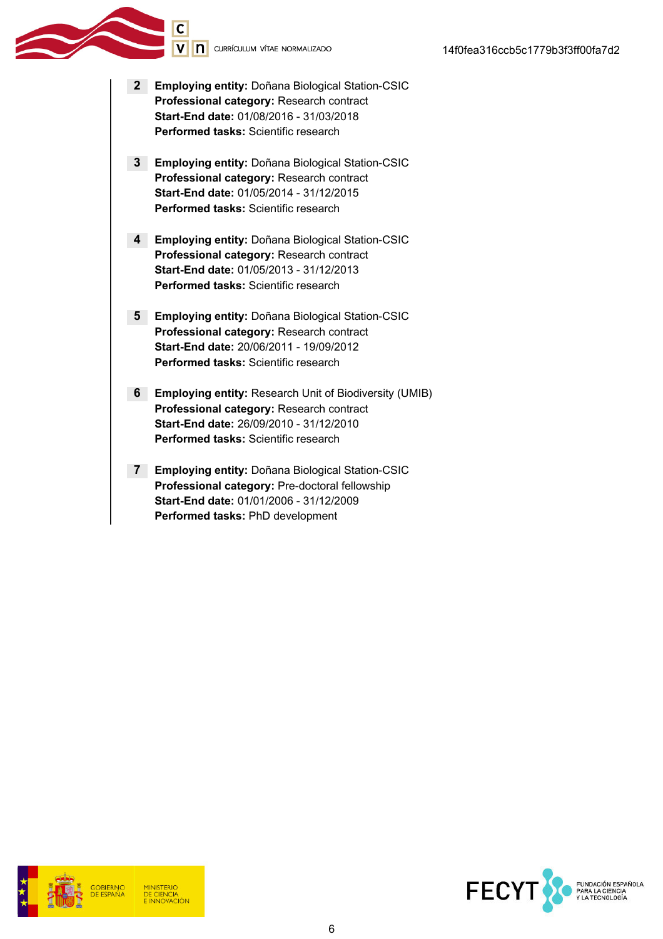V n currículum vítae normalizado

C

- 2 Employing entity: Doñana Biological Station-CSIC Professional category: Research contract Start-End date: 01/08/2016 - 31/03/2018 Performed tasks: Scientific research
- 3 Employing entity: Doñana Biological Station-CSIC Professional category: Research contract Start-End date: 01/05/2014 - 31/12/2015 Performed tasks: Scientific research
- 4 Employing entity: Doñana Biological Station-CSIC Professional category: Research contract Start-End date: 01/05/2013 - 31/12/2013 Performed tasks: Scientific research
- 5 Employing entity: Doñana Biological Station-CSIC Professional category: Research contract Start-End date: 20/06/2011 - 19/09/2012 Performed tasks: Scientific research
- 6 Employing entity: Research Unit of Biodiversity (UMIB) Professional category: Research contract Start-End date: 26/09/2010 - 31/12/2010 Performed tasks: Scientific research
- 7 Employing entity: Doñana Biological Station-CSIC Professional category: Pre-doctoral fellowship Start-End date: 01/01/2006 - 31/12/2009 Performed tasks: PhD development

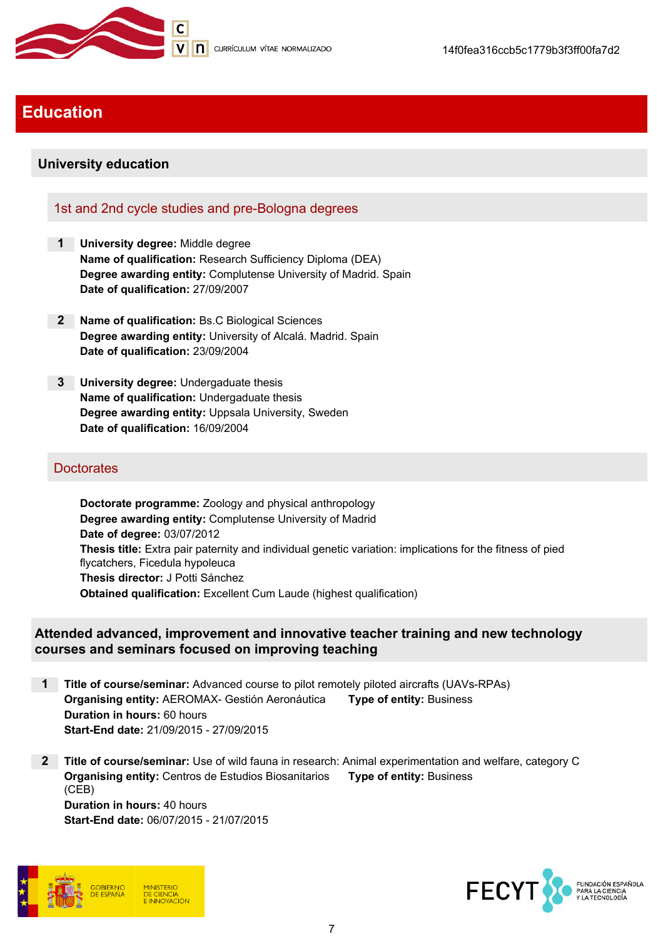

# Education

## University education

## 1st and 2nd cycle studies and pre-Bologna degrees

- 1 University degree: Middle degree Name of qualification: Research Sufficiency Diploma (DEA) Degree awarding entity: Complutense University of Madrid. Spain Date of qualification: 27/09/2007
- 2 Name of qualification: Bs.C Biological Sciences Degree awarding entity: University of Alcalá. Madrid. Spain Date of qualification: 23/09/2004
- 3 University degree: Undergaduate thesis Name of qualification: Undergaduate thesis Degree awarding entity: Uppsala University, Sweden Date of qualification: 16/09/2004

### **Doctorates**

Doctorate programme: Zoology and physical anthropology Degree awarding entity: Complutense University of Madrid Date of degree: 03/07/2012 Thesis title: Extra pair paternity and individual genetic variation: implications for the fitness of pied flycatchers, Ficedula hypoleuca Thesis director: J Potti Sánchez Obtained qualification: Excellent Cum Laude (highest qualification)

### Attended advanced, improvement and innovative teacher training and new technology courses and seminars focused on improving teaching

1 Title of course/seminar: Advanced course to pilot remotely piloted aircrafts (UAVs-RPAs) Organising entity: AEROMAX- Gestión Aeronáutica Type of entity: Business Duration in hours: 60 hours Start-End date: 21/09/2015 - 27/09/2015

2 Title of course/seminar: Use of wild fauna in research: Animal experimentation and welfare, category C **Organising entity: Centros de Estudios Biosanitarios** (CEB) Type of entity: Business Duration in hours: 40 hours

Start-End date: 06/07/2015 - 21/07/2015



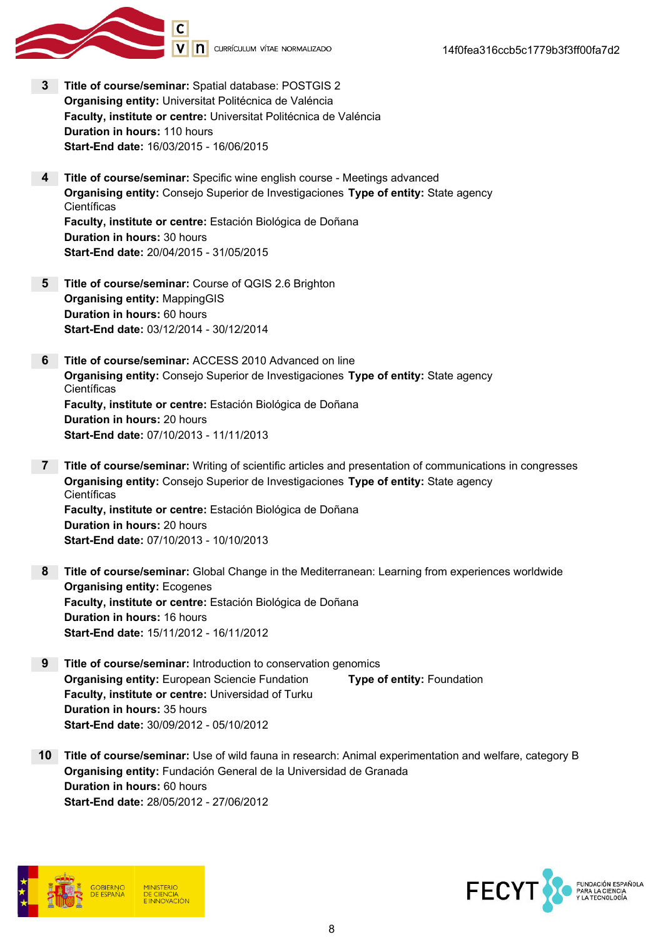V n currículum vítae normalizado



Start-End date: 16/03/2015 - 16/06/2015

4 Title of course/seminar: Specific wine english course - Meetings advanced Organising entity: Consejo Superior de Investigaciones Type of entity: State agency **Científicas** Faculty, institute or centre: Estación Biológica de Doñana Duration in hours: 30 hours Start-End date: 20/04/2015 - 31/05/2015

- 5 Title of course/seminar: Course of QGIS 2.6 Brighton Organising entity: MappingGIS Duration in hours: 60 hours Start-End date: 03/12/2014 - 30/12/2014
- 6 Title of course/seminar: ACCESS 2010 Advanced on line Organising entity: Consejo Superior de Investigaciones Type of entity: State agency **Científicas** Faculty, institute or centre: Estación Biológica de Doñana Duration in hours: 20 hours Start-End date: 07/10/2013 - 11/11/2013
- 7 Title of course/seminar: Writing of scientific articles and presentation of communications in congresses Organising entity: Consejo Superior de Investigaciones Type of entity: State agency **Científicas** Faculty, institute or centre: Estación Biológica de Doñana Duration in hours: 20 hours Start-End date: 07/10/2013 - 10/10/2013
- 8 Title of course/seminar: Global Change in the Mediterranean: Learning from experiences worldwide Organising entity: Ecogenes Faculty, institute or centre: Estación Biológica de Doñana Duration in hours: 16 hours Start-End date: 15/11/2012 - 16/11/2012
- 9 Title of course/seminar: Introduction to conservation genomics **Organising entity:** European Sciencie Fundation **Type of entity:** Foundation Faculty, institute or centre: Universidad of Turku Duration in hours: 35 hours Start-End date: 30/09/2012 - 05/10/2012
- 10 Title of course/seminar: Use of wild fauna in research: Animal experimentation and welfare, category B Organising entity: Fundación General de la Universidad de Granada Duration in hours: 60 hours Start-End date: 28/05/2012 - 27/06/2012



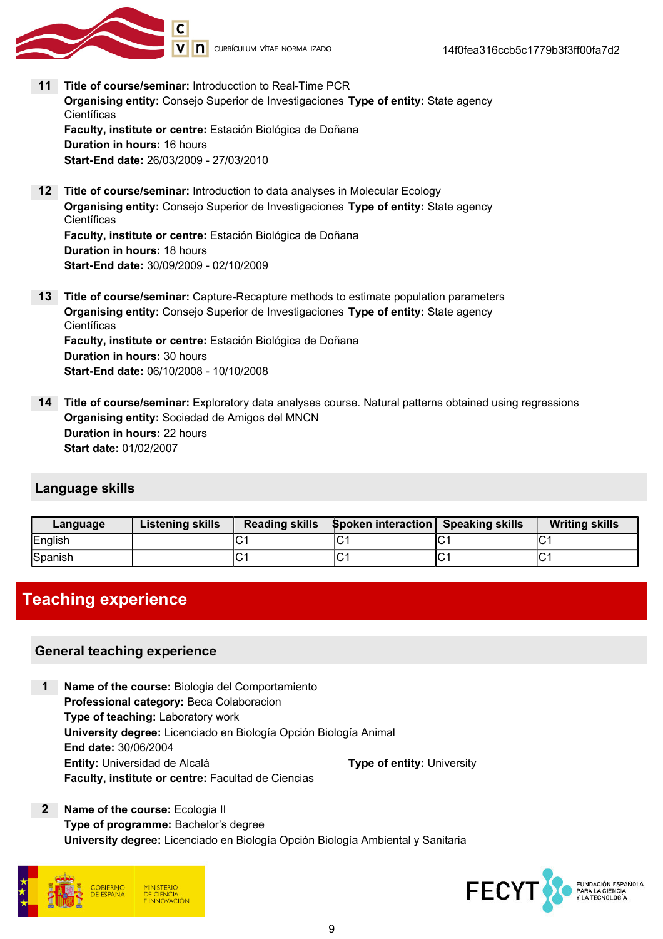

- 11 Title of course/seminar: Introducction to Real-Time PCR Organising entity: Consejo Superior de Investigaciones Type of entity: State agency **Científicas** Faculty, institute or centre: Estación Biológica de Doñana Duration in hours: 16 hours Start-End date: 26/03/2009 - 27/03/2010
- 12 Title of course/seminar: Introduction to data analyses in Molecular Ecology Organising entity: Consejo Superior de Investigaciones Type of entity: State agency **Científicas** Faculty, institute or centre: Estación Biológica de Doñana Duration in hours: 18 hours Start-End date: 30/09/2009 - 02/10/2009
- 13 Title of course/seminar: Capture-Recapture methods to estimate population parameters Organising entity: Consejo Superior de Investigaciones Type of entity: State agency **Científicas** Faculty, institute or centre: Estación Biológica de Doñana Duration in hours: 30 hours Start-End date: 06/10/2008 - 10/10/2008
- 14 Title of course/seminar: Exploratory data analyses course. Natural patterns obtained using regressions Organising entity: Sociedad de Amigos del MNCN Duration in hours: 22 hours Start date: 01/02/2007

### Language skills

| Language | <b>Listening skills</b> | <b>Reading skills</b> | Spoken interaction Speaking skills |   | <b>Writing skills</b> |
|----------|-------------------------|-----------------------|------------------------------------|---|-----------------------|
| English  |                         | ັ                     |                                    |   | ັ                     |
| Spanish  |                         | ◡                     | ◡                                  | ັ | ◡                     |

## Teaching experience

### General teaching experience

- 1 Name of the course: Biologia del Comportamiento Professional category: Beca Colaboracion Type of teaching: Laboratory work University degree: Licenciado en Biología Opción Biología Animal End date: 30/06/2004 **Entity:** Universidad de Alcalá **Type of entity: University** Faculty, institute or centre: Facultad de Ciencias
- 2 Name of the course: Ecologia II Type of programme: Bachelor's degree University degree: Licenciado en Biología Opción Biología Ambiental y Sanitaria



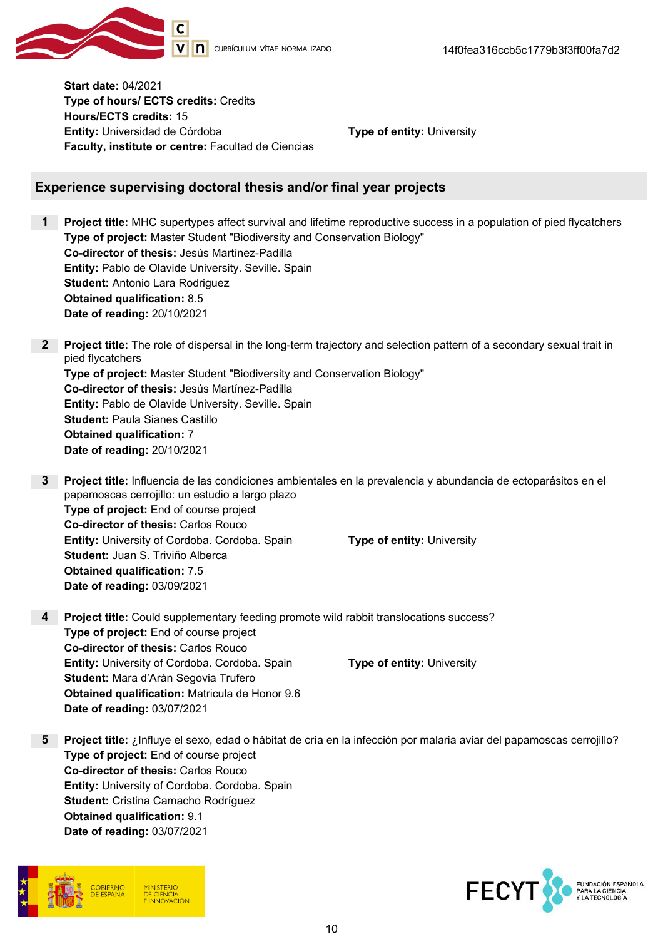

Start date: 04/2021 Type of hours/ ECTS credits: Credits Hours/ECTS credits: 15 **Entity:** Universidad de Córdoba **Type of entity:** University Faculty, institute or centre: Facultad de Ciencias

### Experience supervising doctoral thesis and/or final year projects

**Project title:** MHC supertypes affect survival and lifetime reproductive success in a population of pied flycatchers Type of project: Master Student "Biodiversity and Conservation Biology" Co-director of thesis: Jesús Martínez-Padilla Entity: Pablo de Olavide University. Seville. Spain Student: Antonio Lara Rodriguez Obtained qualification: 8.5 Date of reading: 20/10/2021

- 2 Project title: The role of dispersal in the long-term trajectory and selection pattern of a secondary sexual trait in pied flycatchers Type of project: Master Student "Biodiversity and Conservation Biology" Co-director of thesis: Jesús Martínez-Padilla Entity: Pablo de Olavide University. Seville. Spain Student: Paula Sianes Castillo Obtained qualification: 7 Date of reading: 20/10/2021
- 3 Project title: Influencia de las condiciones ambientales en la prevalencia y abundancia de ectoparásitos en el papamoscas cerrojillo: un estudio a largo plazo Type of project: End of course project Co-director of thesis: Carlos Rouco **Entity:** University of Cordoba. Cordoba. Spain **Type of entity:** University Student: Juan S. Triviño Alberca Obtained qualification: 7.5 Date of reading: 03/09/2021
- 4 Project title: Could supplementary feeding promote wild rabbit translocations success? Type of project: End of course project Co-director of thesis: Carlos Rouco Entity: University of Cordoba. Cordoba. Spain Type of entity: University Student: Mara d'Arán Segovia Trufero Obtained qualification: Matricula de Honor 9.6 Date of reading: 03/07/2021
- 5 Project title: ¿Influye el sexo, edad o hábitat de cría en la infección por malaria aviar del papamoscas cerrojillo? Type of project: End of course project Co-director of thesis: Carlos Rouco Entity: University of Cordoba. Cordoba. Spain Student: Cristina Camacho Rodríguez Obtained qualification: 9.1 Date of reading: 03/07/2021



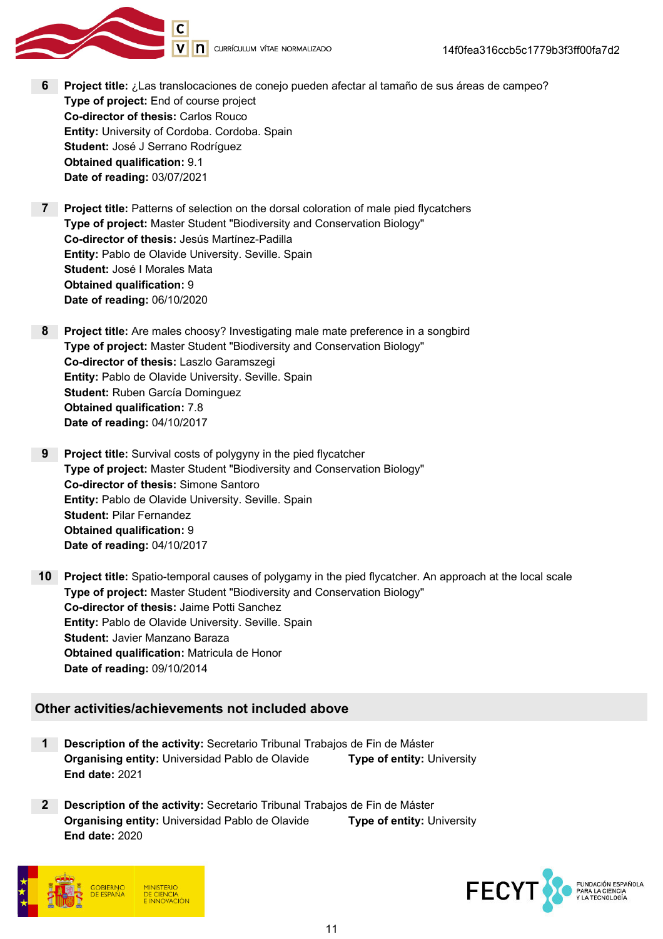

- 6 Project title: ¿Las translocaciones de conejo pueden afectar al tamaño de sus áreas de campeo? Type of project: End of course project Co-director of thesis: Carlos Rouco Entity: University of Cordoba. Cordoba. Spain Student: José J Serrano Rodríguez Obtained qualification: 9.1 Date of reading: 03/07/2021
- **7** Project title: Patterns of selection on the dorsal coloration of male pied flycatchers Type of project: Master Student "Biodiversity and Conservation Biology" Co-director of thesis: Jesús Martínez-Padilla Entity: Pablo de Olavide University. Seville. Spain Student: José I Morales Mata Obtained qualification: 9 Date of reading: 06/10/2020
- 8 Project title: Are males choosy? Investigating male mate preference in a songbird Type of project: Master Student "Biodiversity and Conservation Biology" Co-director of thesis: Laszlo Garamszegi Entity: Pablo de Olavide University. Seville. Spain Student: Ruben García Dominguez Obtained qualification: 7.8 Date of reading: 04/10/2017
- **9** Project title: Survival costs of polygyny in the pied flycatcher Type of project: Master Student "Biodiversity and Conservation Biology" Co-director of thesis: Simone Santoro Entity: Pablo de Olavide University. Seville. Spain Student: Pilar Fernandez Obtained qualification: 9 Date of reading: 04/10/2017
- 10 Project title: Spatio-temporal causes of polygamy in the pied flycatcher. An approach at the local scale Type of project: Master Student "Biodiversity and Conservation Biology" Co-director of thesis: Jaime Potti Sanchez Entity: Pablo de Olavide University. Seville. Spain Student: Javier Manzano Baraza Obtained qualification: Matricula de Honor Date of reading: 09/10/2014

### Other activities/achievements not included above

- 1 Description of the activity: Secretario Tribunal Trabajos de Fin de Máster **Organising entity:** Universidad Pablo de Olavide **Type of entity:** University End date: 2021
- 2 **Description of the activity:** Secretario Tribunal Trabajos de Fin de Máster **Organising entity:** Universidad Pablo de Olavide **Type of entity:** University End date: 2020



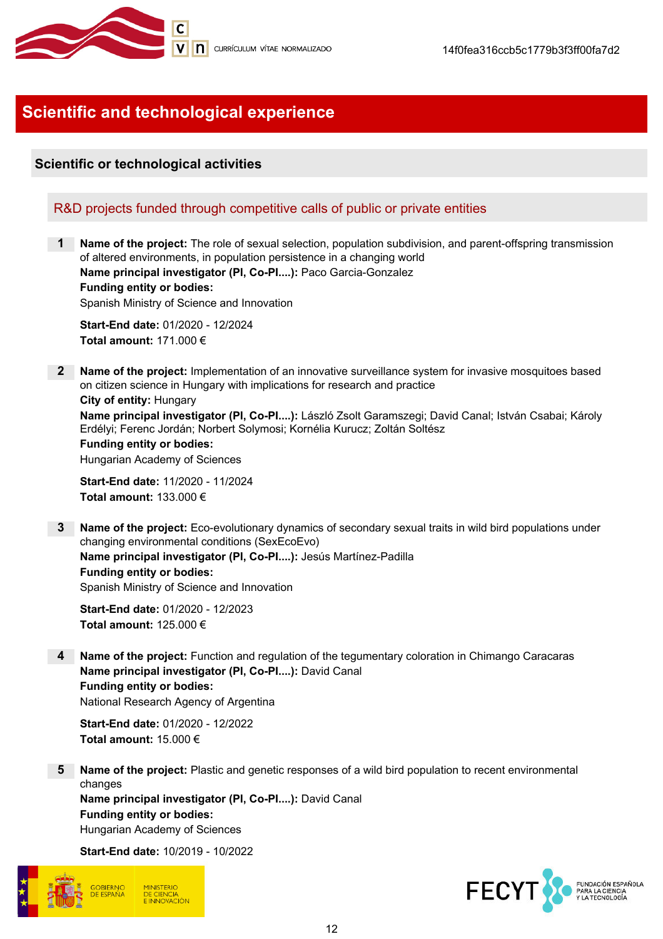

# Scientific and technological experience

## Scientific or technological activities

### R&D projects funded through competitive calls of public or private entities

Name of the project: The role of sexual selection, population subdivision, and parent-offspring transmission of altered environments, in population persistence in a changing world

Name principal investigator (PI, Co-PI....): Paco Garcia-Gonzalez Funding entity or bodies:

Spanish Ministry of Science and Innovation

Start-End date: 01/2020 - 12/2024 Total amount: 171.000 €

2 Name of the project: Implementation of an innovative surveillance system for invasive mosquitoes based on citizen science in Hungary with implications for research and practice City of entity: Hungary

Name principal investigator (PI, Co-PI....): László Zsolt Garamszegi; David Canal; István Csabai; Károly Erdélyi; Ferenc Jordán; Norbert Solymosi; Kornélia Kurucz; Zoltán Soltész

## Funding entity or bodies:

Hungarian Academy of Sciences

Start-End date: 11/2020 - 11/2024 Total amount: 133.000 €

3 Name of the project: Eco-evolutionary dynamics of secondary sexual traits in wild bird populations under changing environmental conditions (SexEcoEvo) Name principal investigator (PI, Co-PI....): Jesús Martínez-Padilla Funding entity or bodies: Spanish Ministry of Science and Innovation

Start-End date: 01/2020 - 12/2023 Total amount: 125.000 €

4 Name of the project: Function and regulation of the tegumentary coloration in Chimango Caracaras Name principal investigator (PI, Co-PI....): David Canal Funding entity or bodies: National Research Agency of Argentina

Start-End date: 01/2020 - 12/2022 Total amount: 15.000 €

5 Name of the project: Plastic and genetic responses of a wild bird population to recent environmental changes

Name principal investigator (PI, Co-PI....): David Canal Funding entity or bodies: Hungarian Academy of Sciences

Start-End date: 10/2019 - 10/2022



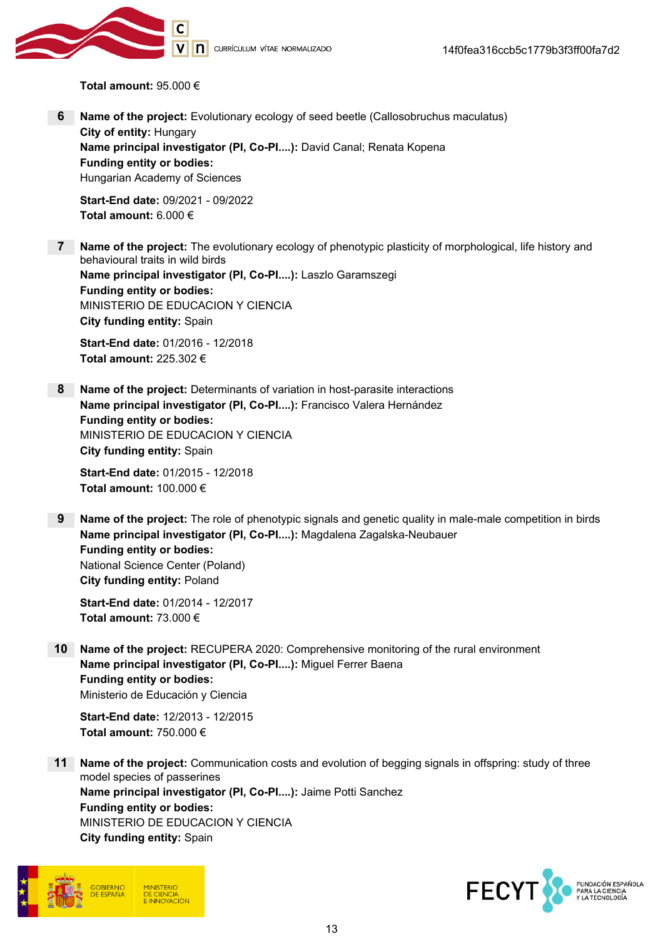

**D** CURRÍCULUM VÍTAE NORMALIZADO

#### Total amount: 95.000 €

6 Name of the project: Evolutionary ecology of seed beetle (Callosobruchus maculatus) City of entity: Hungary Name principal investigator (PI, Co-PI....): David Canal; Renata Kopena Funding entity or bodies: Hungarian Academy of Sciences

Start-End date: 09/2021 - 09/2022 Total amount: 6.000 €

**7** Name of the project: The evolutionary ecology of phenotypic plasticity of morphological, life history and behavioural traits in wild birds Name principal investigator (PI, Co-PI....): Laszlo Garamszegi Funding entity or bodies: MINISTERIO DE EDUCACION Y CIENCIA City funding entity: Spain

Start-End date: 01/2016 - 12/2018 Total amount: 225.302 €

8 Name of the project: Determinants of variation in host-parasite interactions Name principal investigator (PI, Co-PI....): Francisco Valera Hernández Funding entity or bodies: MINISTERIO DE EDUCACION Y CIENCIA City funding entity: Spain

Start-End date: 01/2015 - 12/2018 Total amount: 100.000 €

9 Name of the project: The role of phenotypic signals and genetic quality in male-male competition in birds Name principal investigator (PI, Co-PI....): Magdalena Zagalska-Neubauer Funding entity or bodies: National Science Center (Poland) City funding entity: Poland

Start-End date: 01/2014 - 12/2017 Total amount: 73.000 €

10 Name of the project: RECUPERA 2020: Comprehensive monitoring of the rural environment Name principal investigator (PI, Co-PI....): Miguel Ferrer Baena Funding entity or bodies: Ministerio de Educación y Ciencia

Start-End date: 12/2013 - 12/2015 Total amount: 750.000 €

11 Name of the project: Communication costs and evolution of begging signals in offspring: study of three model species of passerines Name principal investigator (PI, Co-PI....): Jaime Potti Sanchez Funding entity or bodies: MINISTERIO DE EDUCACION Y CIENCIA City funding entity: Spain



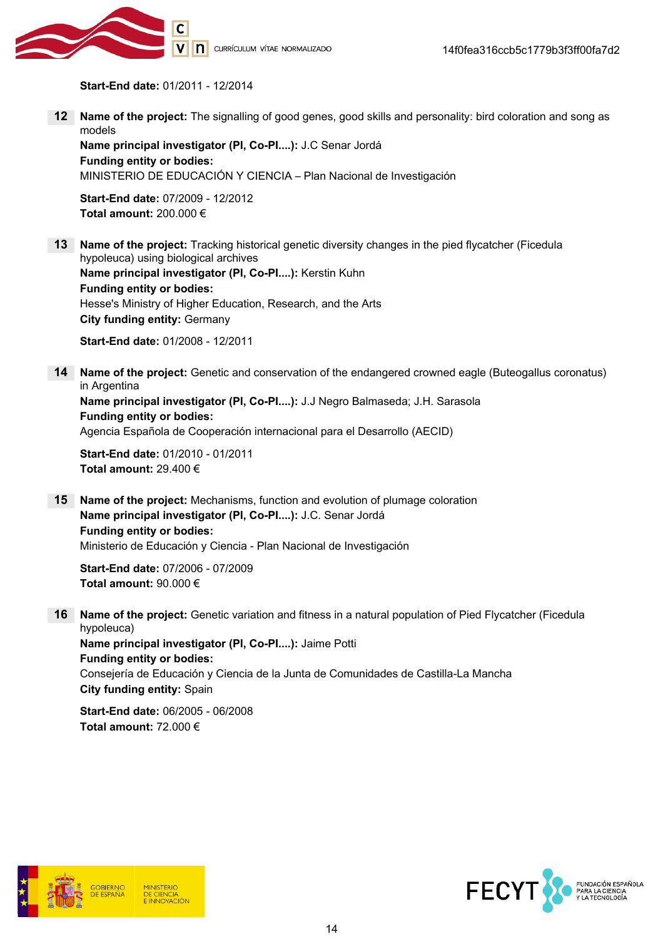

Start-End date: 01/2011 - 12/2014

12 Name of the project: The signalling of good genes, good skills and personality: bird coloration and song as models

Name principal investigator (PI, Co-PI....): J.C Senar Jordá Funding entity or bodies: MINISTERIO DE EDUCACIÓN Y CIENCIA – Plan Nacional de Investigación

Start-End date: 07/2009 - 12/2012 Total amount: 200.000 €

13 Name of the project: Tracking historical genetic diversity changes in the pied flycatcher (Ficedula hypoleuca) using biological archives Name principal investigator (PI, Co-PI....): Kerstin Kuhn Funding entity or bodies: Hesse's Ministry of Higher Education, Research, and the Arts City funding entity: Germany

Start-End date: 01/2008 - 12/2011

14 Name of the project: Genetic and conservation of the endangered crowned eagle (Buteogallus coronatus) in Argentina Name principal investigator (PI, Co-PI....): J.J Negro Balmaseda; J.H. Sarasola Funding entity or bodies: Agencia Española de Cooperación internacional para el Desarrollo (AECID)

Start-End date: 01/2010 - 01/2011 Total amount: 29.400 €

15 Name of the project: Mechanisms, function and evolution of plumage coloration Name principal investigator (PI, Co-PI....): J.C. Senar Jordá Funding entity or bodies: Ministerio de Educación y Ciencia - Plan Nacional de Investigación

Start-End date: 07/2006 - 07/2009 Total amount: 90.000 €

16 Name of the project: Genetic variation and fitness in a natural population of Pied Flycatcher (Ficedula hypoleuca) Name principal investigator (PI, Co-PI....): Jaime Potti Funding entity or bodies: Consejería de Educación y Ciencia de la Junta de Comunidades de Castilla-La Mancha City funding entity: Spain

Start-End date: 06/2005 - 06/2008 Total amount: 72.000 €



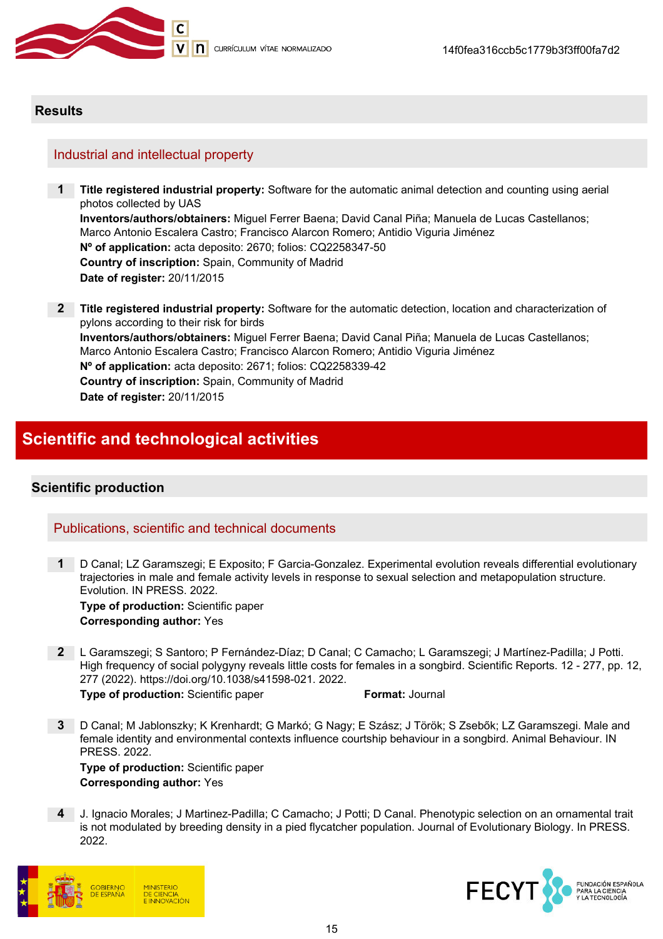

### **Results**

### Industrial and intellectual property

- 1 Title registered industrial property: Software for the automatic animal detection and counting using aerial photos collected by UAS Inventors/authors/obtainers: Miguel Ferrer Baena; David Canal Piña; Manuela de Lucas Castellanos; Marco Antonio Escalera Castro; Francisco Alarcon Romero; Antidio Viguria Jiménez Nº of application: acta deposito: 2670; folios: CQ2258347-50 Country of inscription: Spain, Community of Madrid Date of register: 20/11/2015
- 2 Title registered industrial property: Software for the automatic detection, location and characterization of pylons according to their risk for birds Inventors/authors/obtainers: Miguel Ferrer Baena; David Canal Piña; Manuela de Lucas Castellanos; Marco Antonio Escalera Castro; Francisco Alarcon Romero; Antidio Viguria Jiménez Nº of application: acta deposito: 2671; folios: CQ2258339-42 Country of inscription: Spain, Community of Madrid Date of register: 20/11/2015

## Scientific and technological activities

### Scientific production

### Publications, scientific and technical documents

1 D Canal; LZ Garamszegi; E Exposito; F Garcia-Gonzalez. Experimental evolution reveals differential evolutionary trajectories in male and female activity levels in response to sexual selection and metapopulation structure. Evolution. IN PRESS. 2022.

Type of production: Scientific paper Corresponding author: Yes

2 L Garamszegi; S Santoro; P Fernández-Díaz; D Canal; C Camacho; L Garamszegi; J Martínez-Padilla; J Potti. High frequency of social polygyny reveals little costs for females in a songbird. Scientific Reports. 12 - 277, pp. 12, 277 (2022). https://doi.org/10.1038/s41598-021. 2022. **Type of production:** Scientific paper Format: Journal

3 D Canal; M Jablonszky; K Krenhardt; G Markó; G Nagy; E Szász; J Török; S Zsebők; LZ Garamszegi. Male and female identity and environmental contexts influence courtship behaviour in a songbird. Animal Behaviour. IN PRESS. 2022.

Type of production: Scientific paper Corresponding author: Yes

4 J. Ignacio Morales; J Martinez-Padilla; C Camacho; J Potti; D Canal. Phenotypic selection on an ornamental trait is not modulated by breeding density in a pied flycatcher population. Journal of Evolutionary Biology. In PRESS. 2022.



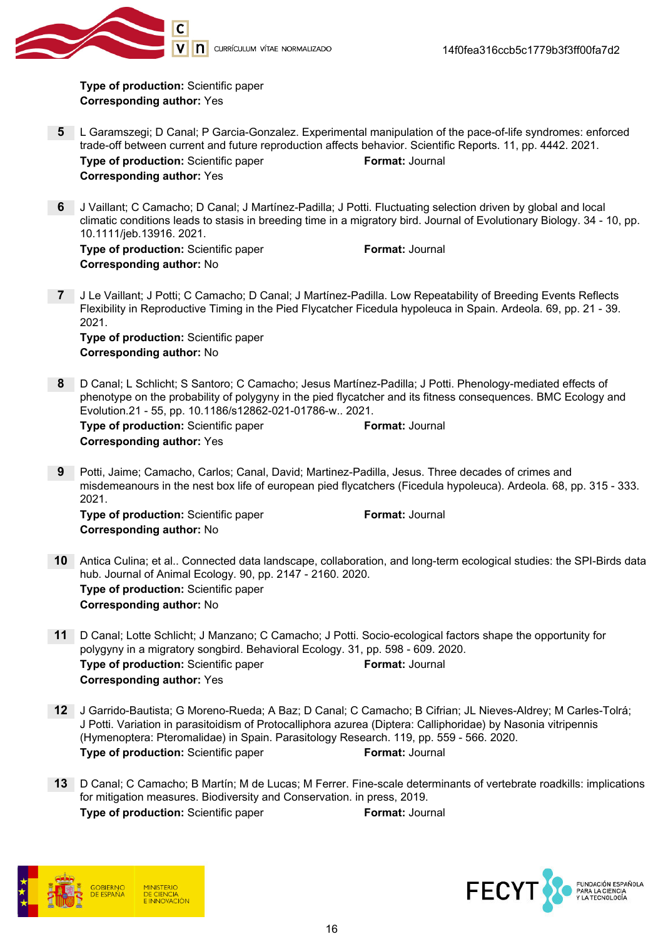

Type of production: Scientific paper Corresponding author: Yes

- 5 L Garamszegi; D Canal; P Garcia-Gonzalez. Experimental manipulation of the pace-of-life syndromes: enforced trade-off between current and future reproduction affects behavior. Scientific Reports. 11, pp. 4442. 2021. **Type of production:** Scientific paper Format: Journal Corresponding author: Yes
- 6 J Vaillant; C Camacho; D Canal; J Martínez-Padilla; J Potti. Fluctuating selection driven by global and local climatic conditions leads to stasis in breeding time in a migratory bird. Journal of Evolutionary Biology. 34 - 10, pp. 10.1111/jeb.13916. 2021.

Type of production: Scientific paper Format: Journal Corresponding author: No

7 J Le Vaillant; J Potti; C Camacho; D Canal; J Martínez-Padilla. Low Repeatability of Breeding Events Reflects Flexibility in Reproductive Timing in the Pied Flycatcher Ficedula hypoleuca in Spain. Ardeola. 69, pp. 21 - 39. 2021.

Type of production: Scientific paper Corresponding author: No

8 D Canal; L Schlicht; S Santoro; C Camacho; Jesus Martínez-Padilla; J Potti. Phenology-mediated effects of phenotype on the probability of polygyny in the pied flycatcher and its fitness consequences. BMC Ecology and Evolution.21 - 55, pp. 10.1186/s12862-021-01786-w.. 2021. Type of production: Scientific paper Format: Journal

| <b>Type of production:</b> Scientific paper |  |
|---------------------------------------------|--|
| <b>Corresponding author: Yes</b>            |  |

9 Potti, Jaime; Camacho, Carlos; Canal, David; Martinez-Padilla, Jesus. Three decades of crimes and misdemeanours in the nest box life of european pied flycatchers (Ficedula hypoleuca). Ardeola. 68, pp. 315 - 333. 2021.

Type of production: Scientific paper Format: Journal Corresponding author: No

- 10 Antica Culina; et al.. Connected data landscape, collaboration, and long-term ecological studies: the SPI-Birds data hub. Journal of Animal Ecology. 90, pp. 2147 - 2160. 2020. Type of production: Scientific paper Corresponding author: No
- 11 D Canal; Lotte Schlicht; J Manzano; C Camacho; J Potti. Socio-ecological factors shape the opportunity for polygyny in a migratory songbird. Behavioral Ecology. 31, pp. 598 - 609. 2020. Type of production: Scientific paper Format: Journal Corresponding author: Yes
- 12 J Garrido-Bautista; G Moreno-Rueda; A Baz; D Canal; C Camacho; B Cifrian; JL Nieves-Aldrey; M Carles-Tolrá; J Potti. Variation in parasitoidism of Protocalliphora azurea (Diptera: Calliphoridae) by Nasonia vitripennis (Hymenoptera: Pteromalidae) in Spain. Parasitology Research. 119, pp. 559 - 566. 2020. **Type of production:** Scientific paper Format: Journal
- 13 D Canal; C Camacho; B Martín; M de Lucas; M Ferrer. Fine-scale determinants of vertebrate roadkills: implications for mitigation measures. Biodiversity and Conservation. in press, 2019. **Type of production:** Scientific paper Format: Journal



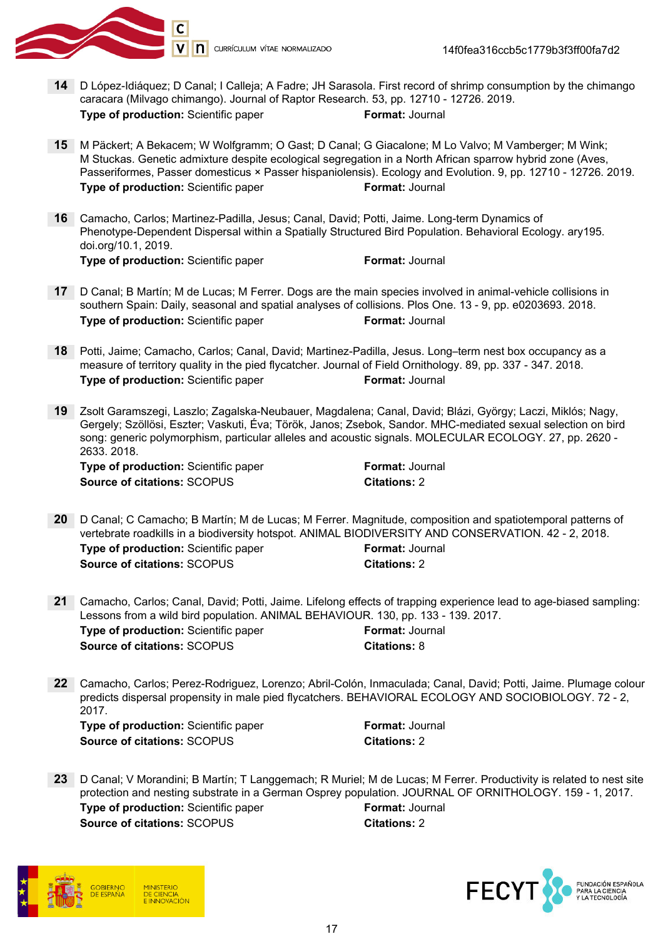

- 14 D López-Idiáquez; D Canal; I Calleja; A Fadre; JH Sarasola. First record of shrimp consumption by the chimango caracara (Milvago chimango). Journal of Raptor Research. 53, pp. 12710 - 12726. 2019. Type of production: Scientific paper Format: Journal
- 15 M Päckert; A Bekacem; W Wolfgramm; O Gast; D Canal; G Giacalone; M Lo Valvo; M Vamberger; M Wink; M Stuckas. Genetic admixture despite ecological segregation in a North African sparrow hybrid zone (Aves, Passeriformes, Passer domesticus × Passer hispaniolensis). Ecology and Evolution. 9, pp. 12710 - 12726. 2019. **Type of production:** Scientific paper Format: Journal
- 16 Camacho, Carlos; Martinez-Padilla, Jesus; Canal, David; Potti, Jaime. Long-term Dynamics of Phenotype-Dependent Dispersal within a Spatially Structured Bird Population. Behavioral Ecology. ary195. doi.org/10.1, 2019. **Type of production:** Scientific paper Format: Journal
- 17 D Canal; B Martín; M de Lucas; M Ferrer. Dogs are the main species involved in animal-vehicle collisions in southern Spain: Daily, seasonal and spatial analyses of collisions. Plos One. 13 - 9, pp. e0203693. 2018. Type of production: Scientific paper Format: Journal
- 18 Potti, Jaime; Camacho, Carlos; Canal, David; Martinez-Padilla, Jesus. Long–term nest box occupancy as a measure of territory quality in the pied flycatcher. Journal of Field Ornithology. 89, pp. 337 - 347. 2018. Type of production: Scientific paper Format: Journal
- 19 Zsolt Garamszegi, Laszlo; Zagalska-Neubauer, Magdalena; Canal, David; Blázi, György; Laczi, Miklós; Nagy, Gergely; Szöllösi, Eszter; Vaskuti, Éva; Török, Janos; Zsebok, Sandor. MHC-mediated sexual selection on bird song: generic polymorphism, particular alleles and acoustic signals. MOLECULAR ECOLOGY. 27, pp. 2620 - 2633. 2018.

**Type of production:** Scientific paper Format: Journal Source of citations: SCOPUS Citations: 2

20 D Canal; C Camacho; B Martín; M de Lucas; M Ferrer. Magnitude, composition and spatiotemporal patterns of vertebrate roadkills in a biodiversity hotspot. ANIMAL BIODIVERSITY AND CONSERVATION. 42 - 2, 2018. Type of production: Scientific paper Format: Journal Source of citations: SCOPUS Citations: 2

- 21 Camacho, Carlos; Canal, David; Potti, Jaime. Lifelong effects of trapping experience lead to age-biased sampling: Lessons from a wild bird population. ANIMAL BEHAVIOUR. 130, pp. 133 - 139. 2017. **Type of production:** Scientific paper Format: Journal Source of citations: SCOPUS Citations: 8
- 22 Camacho, Carlos; Perez-Rodriguez, Lorenzo; Abril-Colón, Inmaculada; Canal, David; Potti, Jaime. Plumage colour predicts dispersal propensity in male pied flycatchers. BEHAVIORAL ECOLOGY AND SOCIOBIOLOGY. 72 - 2, 2017.

Type of production: Scientific paper Format: Journal Source of citations: SCOPUS Citations: 2

23 D Canal; V Morandini; B Martín; T Langgemach; R Muriel; M de Lucas; M Ferrer. Productivity is related to nest site protection and nesting substrate in a German Osprey population. JOURNAL OF ORNITHOLOGY. 159 - 1, 2017. **Type of production:** Scientific paper Format: Journal Source of citations: SCOPUS Citations: 2



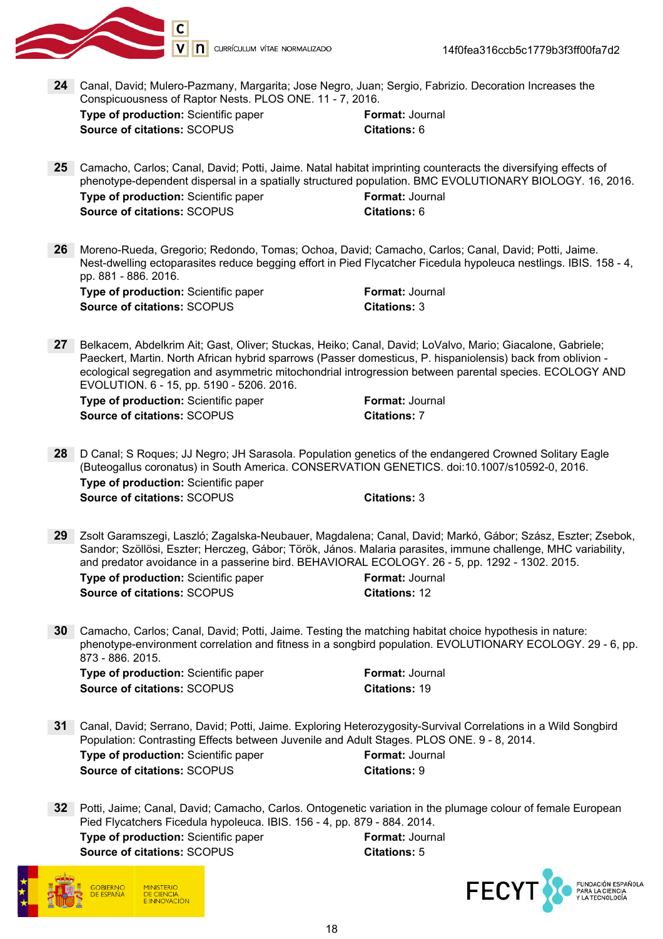

24 Canal, David; Mulero-Pazmany, Margarita; Jose Negro, Juan; Sergio, Fabrizio. Decoration Increases the Conspicuousness of Raptor Nests. PLOS ONE. 11 - 7, 2016.

Type of production: Scientific paper Format: Journal Source of citations: SCOPUS Citations: 6

25 Camacho, Carlos; Canal, David; Potti, Jaime. Natal habitat imprinting counteracts the diversifying effects of phenotype-dependent dispersal in a spatially structured population. BMC EVOLUTIONARY BIOLOGY. 16, 2016. **Type of production:** Scientific paper Format: Journal Source of citations: SCOPUS Citations: 6

26 Moreno-Rueda, Gregorio; Redondo, Tomas; Ochoa, David; Camacho, Carlos; Canal, David; Potti, Jaime. Nest-dwelling ectoparasites reduce begging effort in Pied Flycatcher Ficedula hypoleuca nestlings. IBIS. 158 - 4, pp. 881 - 886. 2016.

Type of production: Scientific paper Format: Journal Source of citations: SCOPUS Citations: 3

27 Belkacem, Abdelkrim Ait; Gast, Oliver; Stuckas, Heiko; Canal, David; LoValvo, Mario; Giacalone, Gabriele; Paeckert, Martin. North African hybrid sparrows (Passer domesticus, P. hispaniolensis) back from oblivion ecological segregation and asymmetric mitochondrial introgression between parental species. ECOLOGY AND EVOLUTION. 6 - 15, pp. 5190 - 5206. 2016.

**Type of production:** Scientific paper Format: Journal Source of citations: SCOPUS Citations: 7

28 D Canal; S Roques; JJ Negro; JH Sarasola. Population genetics of the endangered Crowned Solitary Eagle (Buteogallus coronatus) in South America. CONSERVATION GENETICS. doi:10.1007/s10592-0, 2016. Type of production: Scientific paper Source of citations: SCOPUS Citations: 3

29 Zsolt Garamszegi, Laszló; Zagalska-Neubauer, Magdalena; Canal, David; Markó, Gábor; Szász, Eszter; Zsebok, Sandor; Szöllösi, Eszter; Herczeg, Gábor; Török, János. Malaria parasites, immune challenge, MHC variability, and predator avoidance in a passerine bird. BEHAVIORAL ECOLOGY. 26 - 5, pp. 1292 - 1302. 2015.

Type of production: Scientific paper Format: Journal Source of citations: SCOPUS Citations: 12

30 Camacho, Carlos; Canal, David; Potti, Jaime. Testing the matching habitat choice hypothesis in nature: phenotype-environment correlation and fitness in a songbird population. EVOLUTIONARY ECOLOGY. 29 - 6, pp. 873 - 886. 2015.

Type of production: Scientific paper Format: Journal Source of citations: SCOPUS Citations: 19

- 31 Canal, David; Serrano, David; Potti, Jaime. Exploring Heterozygosity-Survival Correlations in a Wild Songbird Population: Contrasting Effects between Juvenile and Adult Stages. PLOS ONE. 9 - 8, 2014. **Type of production:** Scientific paper Format: Journal Source of citations: SCOPUS Citations: 9
- 32 Potti, Jaime; Canal, David; Camacho, Carlos. Ontogenetic variation in the plumage colour of female European Pied Flycatchers Ficedula hypoleuca. IBIS. 156 - 4, pp. 879 - 884. 2014. **Type of production:** Scientific paper Format: Journal Source of citations: SCOPUS Citations: 5



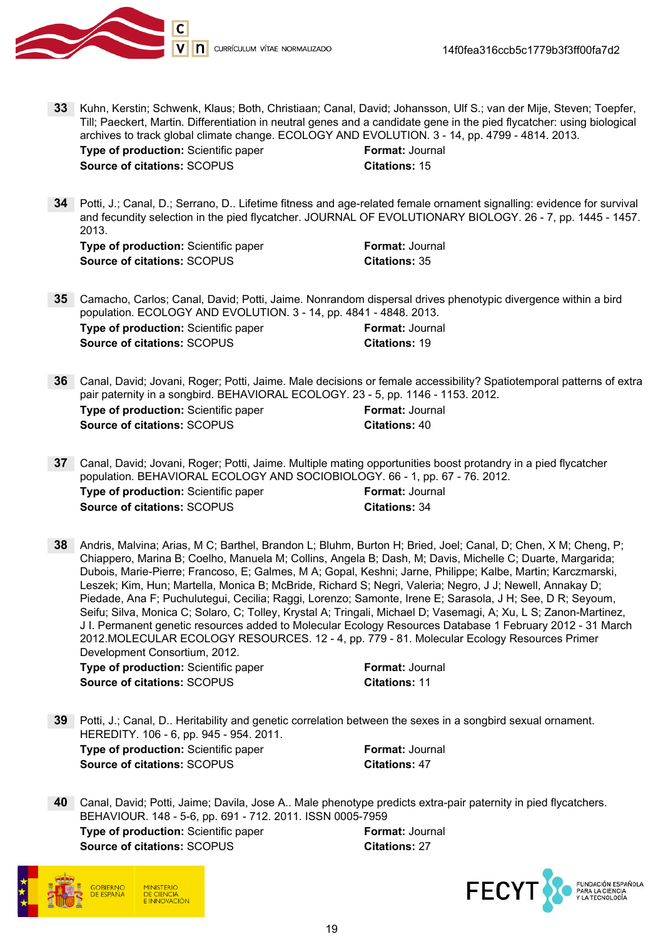

33 Kuhn, Kerstin; Schwenk, Klaus; Both, Christiaan; Canal, David; Johansson, Ulf S.; van der Mije, Steven; Toepfer, Till; Paeckert, Martin. Differentiation in neutral genes and a candidate gene in the pied flycatcher: using biological archives to track global climate change. ECOLOGY AND EVOLUTION. 3 - 14, pp. 4799 - 4814. 2013. Type of production: Scientific paper Format: Journal

Source of citations: SCOPUS Citations: 15

34 Potti, J.; Canal, D.; Serrano, D.. Lifetime fitness and age-related female ornament signalling: evidence for survival and fecundity selection in the pied flycatcher. JOURNAL OF EVOLUTIONARY BIOLOGY. 26 - 7, pp. 1445 - 1457. 2013.

**Type of production:** Scientific paper Format: Journal Source of citations: SCOPUS Citations: 35

**Citations: 40** 

35 Camacho, Carlos; Canal, David; Potti, Jaime. Nonrandom dispersal drives phenotypic divergence within a bird population. ECOLOGY AND EVOLUTION. 3 - 14, pp. 4841 - 4848. 2013.

| <b>Type of production:</b> Scientific paper | <b>Format: Journal</b> |
|---------------------------------------------|------------------------|
| <b>Source of citations: SCOPUS</b>          | <b>Citations: 19</b>   |

36 Canal, David; Jovani, Roger; Potti, Jaime. Male decisions or female accessibility? Spatiotemporal patterns of extra pair paternity in a songbird. BEHAVIORAL ECOLOGY. 23 - 5, pp. 1146 - 1153. 2012. **Type of production:** Scientific paper Format: Journal

| <b>Source of citations: SCOPUS</b> |  |  |
|------------------------------------|--|--|
|                                    |  |  |

- 37 Canal, David; Jovani, Roger; Potti, Jaime. Multiple mating opportunities boost protandry in a pied flycatcher population. BEHAVIORAL ECOLOGY AND SOCIOBIOLOGY. 66 - 1, pp. 67 - 76. 2012. Type of production: Scientific paper Format: Journal Source of citations: SCOPUS Citations: 34
- 38 Andris, Malvina; Arias, M C; Barthel, Brandon L; Bluhm, Burton H; Bried, Joel; Canal, D; Chen, X M; Cheng, P; Chiappero, Marina B; Coelho, Manuela M; Collins, Angela B; Dash, M; Davis, Michelle C; Duarte, Margarida; Dubois, Marie-Pierre; Francoso, E; Galmes, M A; Gopal, Keshni; Jarne, Philippe; Kalbe, Martin; Karczmarski, Leszek; Kim, Hun; Martella, Monica B; McBride, Richard S; Negri, Valeria; Negro, J J; Newell, Annakay D; Piedade, Ana F; Puchulutegui, Cecilia; Raggi, Lorenzo; Samonte, Irene E; Sarasola, J H; See, D R; Seyoum, Seifu; Silva, Monica C; Solaro, C; Tolley, Krystal A; Tringali, Michael D; Vasemagi, A; Xu, L S; Zanon-Martinez, J I. Permanent genetic resources added to Molecular Ecology Resources Database 1 February 2012 - 31 March 2012.MOLECULAR ECOLOGY RESOURCES. 12 - 4, pp. 779 - 81. Molecular Ecology Resources Primer Development Consortium, 2012.

Type of production: Scientific paper Format: Journal Source of citations: SCOPUS Citations: 11

- 39 Potti, J.; Canal, D.. Heritability and genetic correlation between the sexes in a songbird sexual ornament. HEREDITY. 106 - 6, pp. 945 - 954. 2011. Type of production: Scientific paper Format: Journal Source of citations: SCOPUS Citations: 47
- 40 Canal, David; Potti, Jaime; Davila, Jose A.. Male phenotype predicts extra-pair paternity in pied flycatchers. BEHAVIOUR. 148 - 5-6, pp. 691 - 712. 2011. ISSN 0005-7959 **Type of production:** Scientific paper Format: Journal Source of citations: SCOPUS Citations: 27



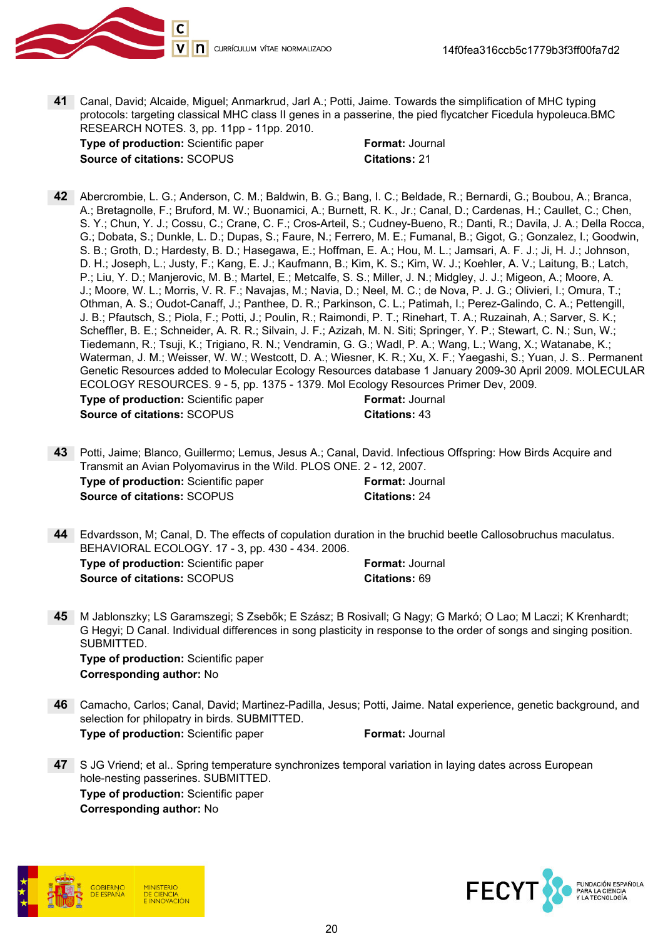

41 Canal, David; Alcaide, Miguel; Anmarkrud, Jarl A.; Potti, Jaime. Towards the simplification of MHC typing protocols: targeting classical MHC class II genes in a passerine, the pied flycatcher Ficedula hypoleuca.BMC RESEARCH NOTES. 3, pp. 11pp - 11pp. 2010.

**Type of production:** Scientific paper Format: Journal Source of citations: SCOPUS Citations: 21

42 Abercrombie, L. G.; Anderson, C. M.; Baldwin, B. G.; Bang, I. C.; Beldade, R.; Bernardi, G.; Boubou, A.; Branca, A.; Bretagnolle, F.; Bruford, M. W.; Buonamici, A.; Burnett, R. K., Jr.; Canal, D.; Cardenas, H.; Caullet, C.; Chen, S. Y.; Chun, Y. J.; Cossu, C.; Crane, C. F.; Cros-Arteil, S.; Cudney-Bueno, R.; Danti, R.; Davila, J. A.; Della Rocca, G.; Dobata, S.; Dunkle, L. D.; Dupas, S.; Faure, N.; Ferrero, M. E.; Fumanal, B.; Gigot, G.; Gonzalez, I.; Goodwin, S. B.; Groth, D.; Hardesty, B. D.; Hasegawa, E.; Hoffman, E. A.; Hou, M. L.; Jamsari, A. F. J.; Ji, H. J.; Johnson, D. H.; Joseph, L.; Justy, F.; Kang, E. J.; Kaufmann, B.; Kim, K. S.; Kim, W. J.; Koehler, A. V.; Laitung, B.; Latch, P.; Liu, Y. D.; Manjerovic, M. B.; Martel, E.; Metcalfe, S. S.; Miller, J. N.; Midgley, J. J.; Migeon, A.; Moore, A. J.; Moore, W. L.; Morris, V. R. F.; Navajas, M.; Navia, D.; Neel, M. C.; de Nova, P. J. G.; Olivieri, I.; Omura, T.; Othman, A. S.; Oudot-Canaff, J.; Panthee, D. R.; Parkinson, C. L.; Patimah, I.; Perez-Galindo, C. A.; Pettengill, J. B.; Pfautsch, S.; Piola, F.; Potti, J.; Poulin, R.; Raimondi, P. T.; Rinehart, T. A.; Ruzainah, A.; Sarver, S. K.; Scheffler, B. E.; Schneider, A. R. R.; Silvain, J. F.; Azizah, M. N. Siti; Springer, Y. P.; Stewart, C. N.; Sun, W.; Tiedemann, R.; Tsuji, K.; Trigiano, R. N.; Vendramin, G. G.; Wadl, P. A.; Wang, L.; Wang, X.; Watanabe, K.; Waterman, J. M.; Weisser, W. W.; Westcott, D. A.; Wiesner, K. R.; Xu, X. F.; Yaegashi, S.; Yuan, J. S.. Permanent Genetic Resources added to Molecular Ecology Resources database 1 January 2009-30 April 2009. MOLECULAR ECOLOGY RESOURCES. 9 - 5, pp. 1375 - 1379. Mol Ecology Resources Primer Dev, 2009.

**Type of production:** Scientific paper Format: Journal Source of citations: SCOPUS Citations: 43

43 Potti, Jaime; Blanco, Guillermo; Lemus, Jesus A.; Canal, David. Infectious Offspring: How Birds Acquire and Transmit an Avian Polyomavirus in the Wild. PLOS ONE. 2 - 12, 2007.

| <b>Type of production:</b> Scientific paper | <b>Format: Journal</b> |
|---------------------------------------------|------------------------|
| <b>Source of citations: SCOPUS</b>          | <b>Citations: 24</b>   |

44 Edvardsson, M; Canal, D. The effects of copulation duration in the bruchid beetle Callosobruchus maculatus. BEHAVIORAL ECOLOGY. 17 - 3, pp. 430 - 434. 2006.

**Type of production:** Scientific paper Format: Journal Source of citations: SCOPUS Citations: 69

45 M Jablonszky; LS Garamszegi; S Zsebők; E Szász; B Rosivall; G Nagy; G Markó; O Lao; M Laczi; K Krenhardt; G Hegyi; D Canal. Individual differences in song plasticity in response to the order of songs and singing position. SUBMITTED.

Type of production: Scientific paper Corresponding author: No

- 46 Camacho, Carlos; Canal, David; Martinez-Padilla, Jesus; Potti, Jaime. Natal experience, genetic background, and selection for philopatry in birds. SUBMITTED. Type of production: Scientific paper Format: Journal
- 47 S JG Vriend; et al.. Spring temperature synchronizes temporal variation in laying dates across European hole-nesting passerines. SUBMITTED. Type of production: Scientific paper Corresponding author: No



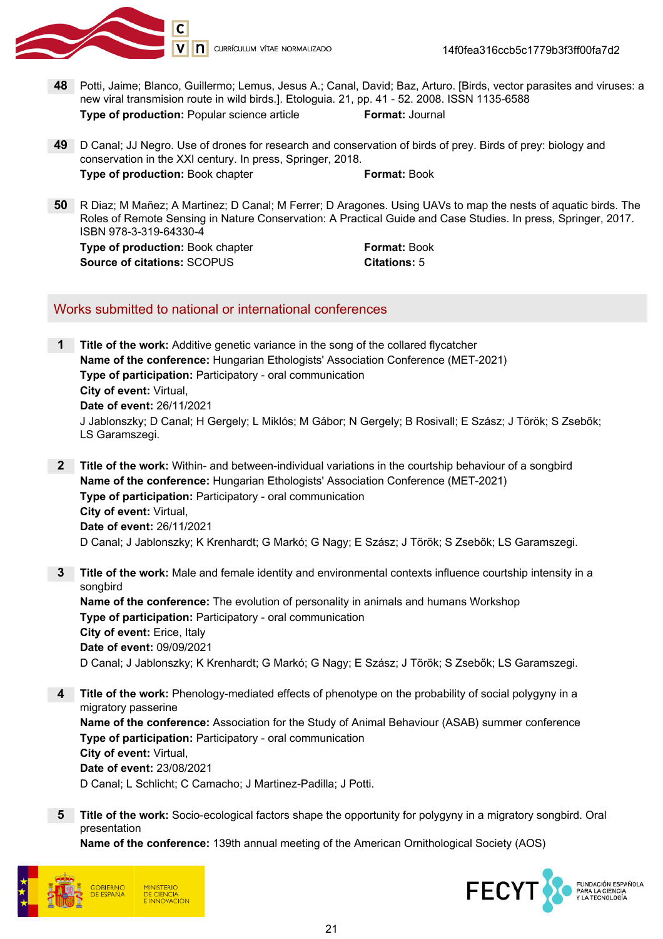

- 48 Potti, Jaime; Blanco, Guillermo; Lemus, Jesus A.; Canal, David; Baz, Arturo. [Birds, vector parasites and viruses: a new viral transmision route in wild birds.]. Etologuia. 21, pp. 41 - 52. 2008. ISSN 1135-6588 Type of production: Popular science article Format: Journal
- 49 D Canal; JJ Negro. Use of drones for research and conservation of birds of prey. Birds of prey: biology and conservation in the XXI century. In press, Springer, 2018. Type of production: Book chapter Format: Book
- 50 R Diaz; M Mañez; A Martinez; D Canal; M Ferrer; D Aragones. Using UAVs to map the nests of aquatic birds. The Roles of Remote Sensing in Nature Conservation: A Practical Guide and Case Studies. In press, Springer, 2017. ISBN 978-3-319-64330-4 **Type of production:** Book chapter Format: Book **Format:** Book Source of citations: SCOPUS Citations: 5

### Works submitted to national or international conferences

- 1 Title of the work: Additive genetic variance in the song of the collared flycatcher Name of the conference: Hungarian Ethologists' Association Conference (MET-2021) Type of participation: Participatory - oral communication City of event: Virtual, Date of event: 26/11/2021 J Jablonszky; D Canal; H Gergely; L Miklós; M Gábor; N Gergely; B Rosivall; E Szász; J Török; S Zsebők; LS Garamszegi.
- **2** Title of the work: Within- and between-individual variations in the courtship behaviour of a songbird Name of the conference: Hungarian Ethologists' Association Conference (MET-2021) Type of participation: Participatory - oral communication City of event: Virtual, Date of event: 26/11/2021 D Canal; J Jablonszky; K Krenhardt; G Markó; G Nagy; E Szász; J Török; S Zsebők; LS Garamszegi.
- 3 Title of the work: Male and female identity and environmental contexts influence courtship intensity in a songbird Name of the conference: The evolution of personality in animals and humans Workshop Type of participation: Participatory - oral communication City of event: Erice, Italy Date of event: 09/09/2021 D Canal; J Jablonszky; K Krenhardt; G Markó; G Nagy; E Szász; J Török; S Zsebők; LS Garamszegi.
- 4 Title of the work: Phenology-mediated effects of phenotype on the probability of social polygyny in a migratory passerine Name of the conference: Association for the Study of Animal Behaviour (ASAB) summer conference Type of participation: Participatory - oral communication City of event: Virtual, Date of event: 23/08/2021 D Canal; L Schlicht; C Camacho; J Martinez-Padilla; J Potti.
- 5 Title of the work: Socio-ecological factors shape the opportunity for polygyny in a migratory songbird. Oral presentation

Name of the conference: 139th annual meeting of the American Ornithological Society (AOS)



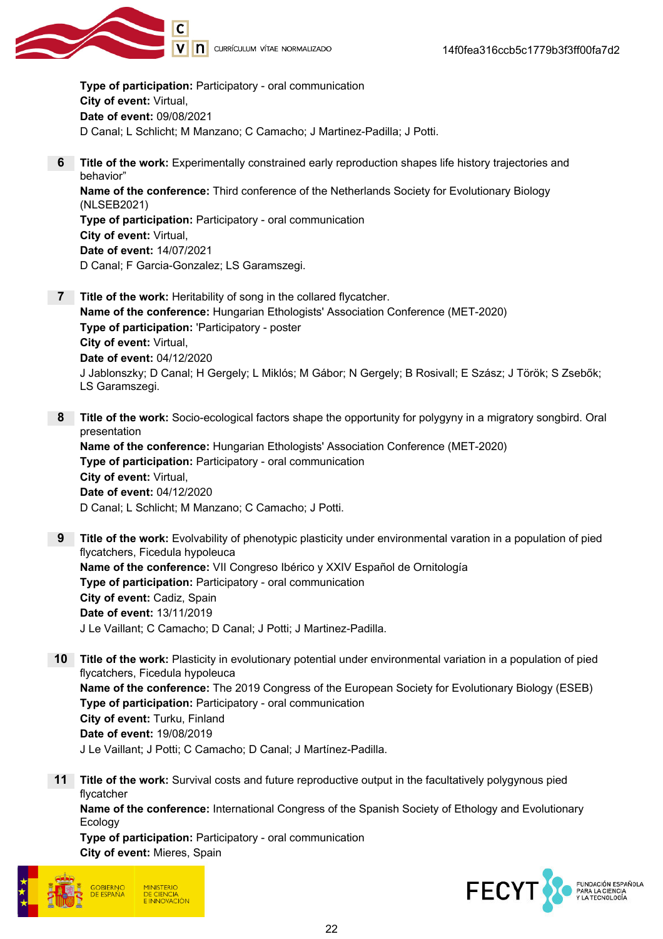

Type of participation: Participatory - oral communication City of event: Virtual, Date of event: 09/08/2021 D Canal; L Schlicht; M Manzano; C Camacho; J Martinez-Padilla; J Potti.

6 Title of the work: Experimentally constrained early reproduction shapes life history trajectories and behavior"

Name of the conference: Third conference of the Netherlands Society for Evolutionary Biology (NLSEB2021) Type of participation: Participatory - oral communication City of event: Virtual, Date of event: 14/07/2021 D Canal; F Garcia-Gonzalez; LS Garamszegi.

- **7** Title of the work: Heritability of song in the collared flycatcher. Name of the conference: Hungarian Ethologists' Association Conference (MET-2020) Type of participation: 'Participatory - poster City of event: Virtual, Date of event: 04/12/2020 J Jablonszky; D Canal; H Gergely; L Miklós; M Gábor; N Gergely; B Rosivall; E Szász; J Török; S Zsebők; LS Garamszegi.
	- 8 Title of the work: Socio-ecological factors shape the opportunity for polygyny in a migratory songbird. Oral presentation Name of the conference: Hungarian Ethologists' Association Conference (MET-2020) Type of participation: Participatory - oral communication City of event: Virtual, Date of event: 04/12/2020 D Canal; L Schlicht; M Manzano; C Camacho; J Potti.
	- **9** Title of the work: Evolvability of phenotypic plasticity under environmental varation in a population of pied flycatchers, Ficedula hypoleuca Name of the conference: VII Congreso Ibérico y XXIV Español de Ornitología Type of participation: Participatory - oral communication City of event: Cadiz, Spain Date of event: 13/11/2019 J Le Vaillant; C Camacho; D Canal; J Potti; J Martinez-Padilla.
- 10 Title of the work: Plasticity in evolutionary potential under environmental variation in a population of pied flycatchers, Ficedula hypoleuca Name of the conference: The 2019 Congress of the European Society for Evolutionary Biology (ESEB) Type of participation: Participatory - oral communication City of event: Turku, Finland Date of event: 19/08/2019 J Le Vaillant; J Potti; C Camacho; D Canal; J Martínez-Padilla.
- 11 Title of the work: Survival costs and future reproductive output in the facultatively polygynous pied flycatcher Name of the conference: International Congress of the Spanish Society of Ethology and Evolutionary **Ecology**

Type of participation: Participatory - oral communication City of event: Mieres, Spain



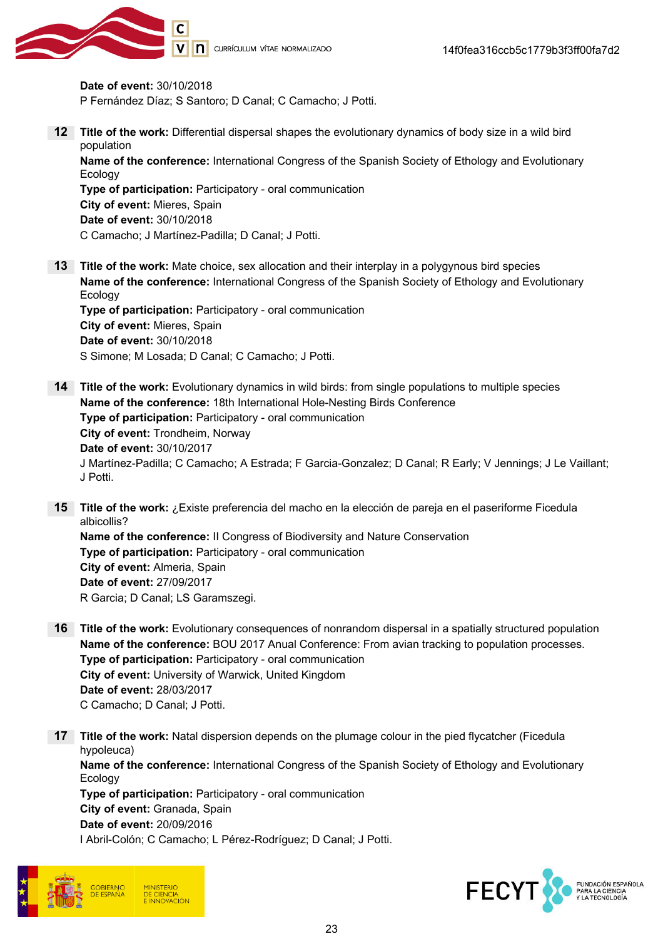

Date of event: 30/10/2018

P Fernández Díaz; S Santoro; D Canal; C Camacho; J Potti.

12 Title of the work: Differential dispersal shapes the evolutionary dynamics of body size in a wild bird population

Name of the conference: International Congress of the Spanish Society of Ethology and Evolutionary Ecology

Type of participation: Participatory - oral communication City of event: Mieres, Spain Date of event: 30/10/2018 C Camacho; J Martínez-Padilla; D Canal; J Potti.

- 13 Title of the work: Mate choice, sex allocation and their interplay in a polygynous bird species Name of the conference: International Congress of the Spanish Society of Ethology and Evolutionary Ecology Type of participation: Participatory - oral communication City of event: Mieres, Spain Date of event: 30/10/2018 S Simone; M Losada; D Canal; C Camacho; J Potti.
- 14 Title of the work: Evolutionary dynamics in wild birds: from single populations to multiple species Name of the conference: 18th International Hole-Nesting Birds Conference Type of participation: Participatory - oral communication City of event: Trondheim, Norway Date of event: 30/10/2017 J Martínez-Padilla; C Camacho; A Estrada; F Garcia-Gonzalez; D Canal; R Early; V Jennings; J Le Vaillant; J Potti.
- 15 Title of the work: ¿Existe preferencia del macho en la elección de pareja en el paseriforme Ficedula albicollis? Name of the conference: II Congress of Biodiversity and Nature Conservation Type of participation: Participatory - oral communication City of event: Almeria, Spain Date of event: 27/09/2017 R Garcia; D Canal; LS Garamszegi.
- 16 Title of the work: Evolutionary consequences of nonrandom dispersal in a spatially structured population Name of the conference: BOU 2017 Anual Conference: From avian tracking to population processes. Type of participation: Participatory - oral communication City of event: University of Warwick, United Kingdom Date of event: 28/03/2017 C Camacho; D Canal; J Potti.
- 17 Title of the work: Natal dispersion depends on the plumage colour in the pied flycatcher (Ficedula hypoleuca) Name of the conference: International Congress of the Spanish Society of Ethology and Evolutionary Ecology Type of participation: Participatory - oral communication City of event: Granada, Spain Date of event: 20/09/2016 I Abril-Colón; C Camacho; L Pérez-Rodríguez; D Canal; J Potti.



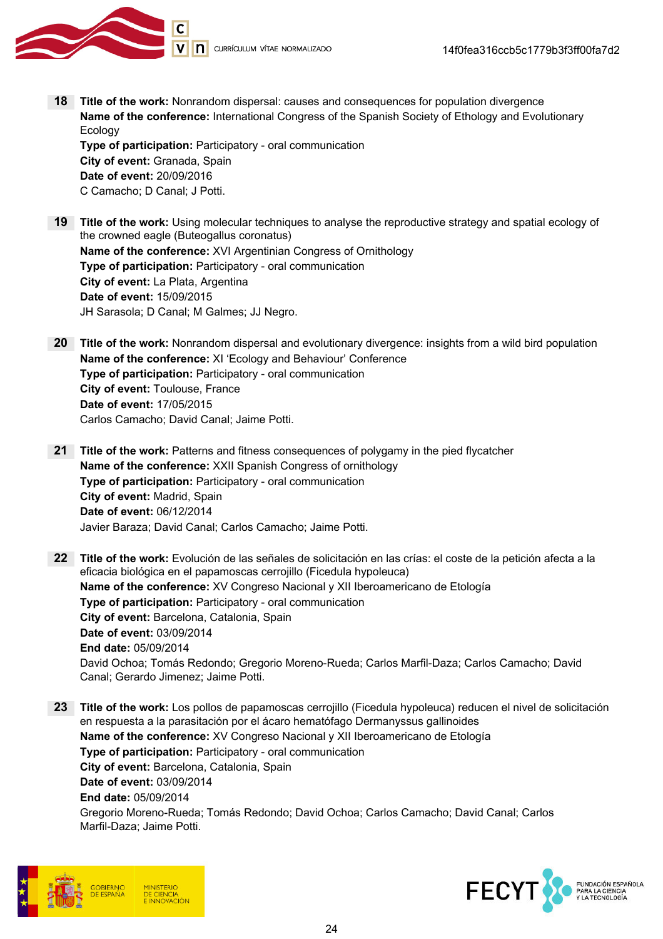

18 Title of the work: Nonrandom dispersal: causes and consequences for population divergence Name of the conference: International Congress of the Spanish Society of Ethology and Evolutionary **Ecology** Type of participation: Participatory - oral communication City of event: Granada, Spain Date of event: 20/09/2016

C Camacho; D Canal; J Potti.

- 19 Title of the work: Using molecular techniques to analyse the reproductive strategy and spatial ecology of the crowned eagle (Buteogallus coronatus) Name of the conference: XVI Argentinian Congress of Ornithology Type of participation: Participatory - oral communication City of event: La Plata, Argentina Date of event: 15/09/2015 JH Sarasola; D Canal; M Galmes; JJ Negro.
- 20 Title of the work: Nonrandom dispersal and evolutionary divergence: insights from a wild bird population Name of the conference: XI 'Ecology and Behaviour' Conference Type of participation: Participatory - oral communication City of event: Toulouse, France Date of event: 17/05/2015 Carlos Camacho; David Canal; Jaime Potti.
- 21 Title of the work: Patterns and fitness consequences of polygamy in the pied flycatcher Name of the conference: XXII Spanish Congress of ornithology Type of participation: Participatory - oral communication City of event: Madrid, Spain Date of event: 06/12/2014 Javier Baraza; David Canal; Carlos Camacho; Jaime Potti.
- 22 Title of the work: Evolución de las señales de solicitación en las crías: el coste de la petición afecta a la eficacia biológica en el papamoscas cerrojillo (Ficedula hypoleuca) Name of the conference: XV Congreso Nacional y XII Iberoamericano de Etología Type of participation: Participatory - oral communication City of event: Barcelona, Catalonia, Spain Date of event: 03/09/2014 End date: 05/09/2014 David Ochoa; Tomás Redondo; Gregorio Moreno-Rueda; Carlos Marfil-Daza; Carlos Camacho; David Canal; Gerardo Jimenez; Jaime Potti.
- 23 Title of the work: Los pollos de papamoscas cerrojillo (Ficedula hypoleuca) reducen el nivel de solicitación en respuesta a la parasitación por el ácaro hematófago Dermanyssus gallinoides Name of the conference: XV Congreso Nacional y XII Iberoamericano de Etología Type of participation: Participatory - oral communication City of event: Barcelona, Catalonia, Spain Date of event: 03/09/2014 End date: 05/09/2014 Gregorio Moreno-Rueda; Tomás Redondo; David Ochoa; Carlos Camacho; David Canal; Carlos Marfil-Daza; Jaime Potti.



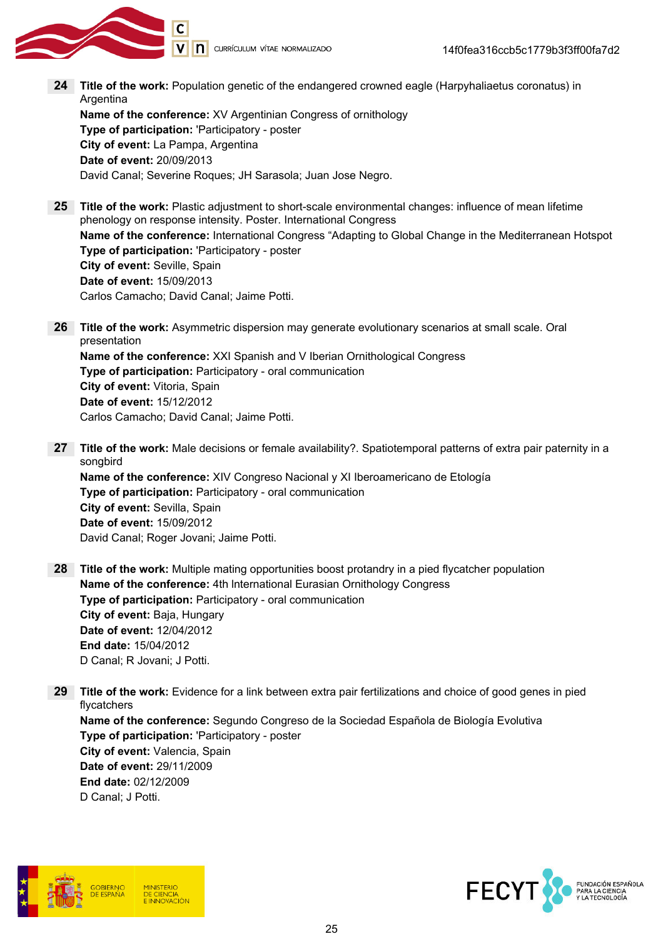

24 Title of the work: Population genetic of the endangered crowned eagle (Harpyhaliaetus coronatus) in **Argentina** Name of the conference: XV Argentinian Congress of ornithology

Type of participation: 'Participatory - poster City of event: La Pampa, Argentina Date of event: 20/09/2013 David Canal; Severine Roques; JH Sarasola; Juan Jose Negro.

- 25 Title of the work: Plastic adjustment to short-scale environmental changes: influence of mean lifetime phenology on response intensity. Poster. International Congress Name of the conference: International Congress "Adapting to Global Change in the Mediterranean Hotspot Type of participation: 'Participatory - poster City of event: Seville, Spain Date of event: 15/09/2013 Carlos Camacho; David Canal; Jaime Potti.
- 26 Title of the work: Asymmetric dispersion may generate evolutionary scenarios at small scale. Oral presentation Name of the conference: XXI Spanish and V Iberian Ornithological Congress Type of participation: Participatory - oral communication City of event: Vitoria, Spain Date of event: 15/12/2012 Carlos Camacho; David Canal; Jaime Potti.
- 27 Title of the work: Male decisions or female availability?. Spatiotemporal patterns of extra pair paternity in a songbird Name of the conference: XIV Congreso Nacional y XI Iberoamericano de Etología Type of participation: Participatory - oral communication City of event: Sevilla, Spain Date of event: 15/09/2012 David Canal; Roger Jovani; Jaime Potti.
- 28 Title of the work: Multiple mating opportunities boost protandry in a pied flycatcher population Name of the conference: 4th lnternational Eurasian Ornithology Congress Type of participation: Participatory - oral communication City of event: Baja, Hungary Date of event: 12/04/2012 End date: 15/04/2012 D Canal; R Jovani; J Potti.
- 29 Title of the work: Evidence for a link between extra pair fertilizations and choice of good genes in pied flycatchers

Name of the conference: Segundo Congreso de la Sociedad Española de Biología Evolutiva Type of participation: 'Participatory - poster City of event: Valencia, Spain Date of event: 29/11/2009 End date: 02/12/2009 D Canal; J Potti.